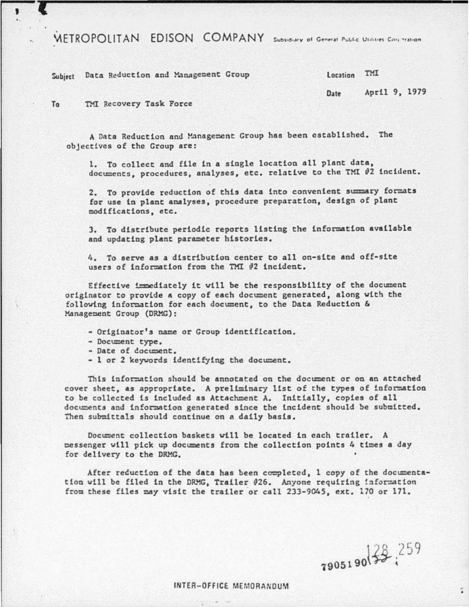WETROPOLITAN EDISON COMPANY Subsidiary of General Public Utilities Corp. Yation

Subject Data Reduction and Management Group

April 9, 1979 Date

TMI Recovery Task Force  $T_0$ 

,

A Data Reduction and Management Group has been established. The objectives of the Group are:

1. To collect and file in a single location all plant data, documents, procedures, analyses, etc. relative to the TMI #2 incident.

2. To provide reduction of this data into convenient summary formats for use in plant analyses, procedure preparation, design of plant modifications, etc.

3. To distribute periodic reports listing the information available and updating plant parameter histories.

4. To serve as a distribution center to all on-site and off-site users of information from the TMI #2 incident.

Effective immediately it will be the responsibility of the document originator to provide a copy of each document generated, along with the following information for each document, to the Data Reduction & Management Group (DRMG):

- Originator's name or Group identification.
- Document type.
- Date of document.
- 1 or 2 keywords identifying the document.

This information should be annotated on the document or on an attached cover sheet, as appropriate. A preliminary list of the types of information to be collected is included as Attachment A. Initially, copies of all documents and information generated since the incident should be submitted. Then submittals should continue on a daily basis.

Document collection baskets will be located in each trailer. A messenger will pick up documents from the collection points 4 times a day for delivery to the DRMG.

After reduction of the data has been completed, 1 copy of the documentation will be filed in the DRMG, Trailer #26. Anyone requiring information from these files may visit the trailer or call 233-9045, ext. 170 or 171.

7905190 32 259

 $\ddot{\bullet}$